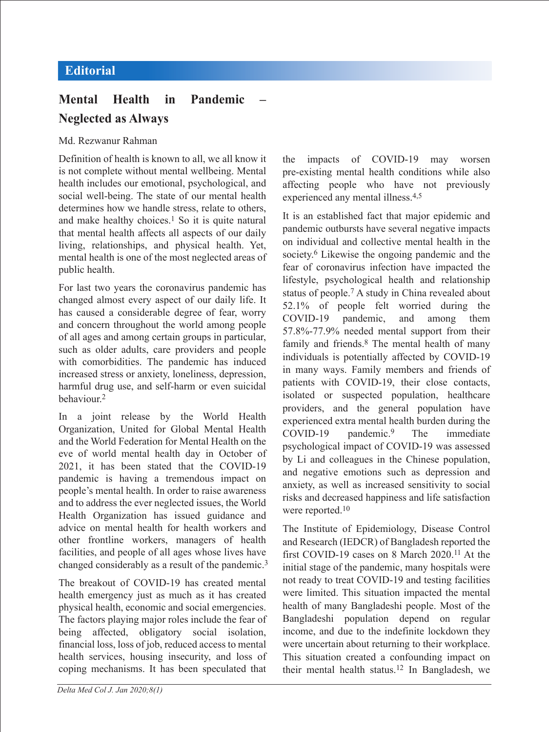## **Mental Health in Pandemic Neglected as Always**

## Md. Rezwanur Rahman

Definition of health is known to all, we all know it is not complete without mental wellbeing. Mental health includes our emotional, psychological, and social well-being. The state of our mental health determines how we handle stress, relate to others, and make healthy choices.<sup>1</sup> So it is quite natural that mental health affects all aspects of our daily living, relationships, and physical health. Yet, mental health is one of the most neglected areas of public health.

For last two years the coronavirus pandemic has changed almost every aspect of our daily life. It has caused a considerable degree of fear, worry and concern throughout the world among people of all ages and among certain groups in particular, such as older adults, care providers and people with comorbidities. The pandemic has induced increased stress or anxiety, loneliness, depression, harmful drug use, and self-harm or even suicidal behaviour<sup>2</sup>

In a joint release by the World Health Organization, United for Global Mental Health and the World Federation for Mental Health on the eve of world mental health day in October of 2021, it has been stated that the COVID-19 pandemic is having a tremendous impact on people's mental health. In order to raise awareness and to address the ever neglected issues, the World Health Organization has issued guidance and advice on mental health for health workers and other frontline workers, managers of health facilities, and people of all ages whose lives have changed considerably as a result of the pandemic.<sup>3</sup>

The breakout of COVID-19 has created mental health emergency just as much as it has created physical health, economic and social emergencies. The factors playing major roles include the fear of being affected, obligatory social isolation, financial loss, loss of job, reduced access to mental health services, housing insecurity, and loss of coping mechanisms. It has been speculated that

the impacts of COVID-19 may worsen pre-existing mental health conditions while also affecting people who have not previously experienced any mental illness.4,5

It is an established fact that major epidemic and pandemic outbursts have several negative impacts on individual and collective mental health in the society.<sup>6</sup> Likewise the ongoing pandemic and the fear of coronavirus infection have impacted the lifestyle, psychological health and relationship status of people.7 A study in China revealed about 52.1% of people felt worried during the COVID-19 pandemic, and among them 57.8%-77.9% needed mental support from their family and friends.8 The mental health of many individuals is potentially affected by COVID-19 in many ways. Family members and friends of patients with COVID-19, their close contacts, isolated or suspected population, healthcare providers, and the general population have experienced extra mental health burden during the COVID-19 pandemic.9 The immediate psychological impact of COVID-19 was assessed by Li and colleagues in the Chinese population, and negative emotions such as depression and anxiety, as well as increased sensitivity to social risks and decreased happiness and life satisfaction were reported.<sup>10</sup>

The Institute of Epidemiology, Disease Control and Research (IEDCR) of Bangladesh reported the first COVID-19 cases on 8 March 2020.11 At the initial stage of the pandemic, many hospitals were not ready to treat COVID-19 and testing facilities were limited. This situation impacted the mental health of many Bangladeshi people. Most of the Bangladeshi population depend on regular income, and due to the indefinite lockdown they were uncertain about returning to their workplace. This situation created a confounding impact on their mental health status.12 In Bangladesh, we